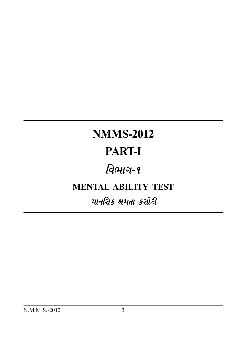# **NMMS-2012**

# **PART-I**

# વિભાગ-૧

### **MENTAL ABILITY TEST**

### માનસિક ક્ષમતા કસોટી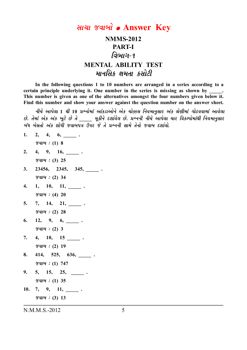### साया જवाजी • Answer Key

### **NMMS-2012 PART-I** વિભાગ-૧ **MENTAL ABILITY TEST** માનસિક ક્ષમતા કસોટી

In the following questions 1 to 10 numbers are arranged in a series according to a certain principle underlying it. One number in the series is missing as shown by  $\sim$ This number is given as one of the alternatives amongst the four numbers given below it. Find this number and show your answer against the question number on the answer sheet.

નીચે આપેલા 1 થી 10 પ્રશ્નોમાં આંકડાઓને એક ચોક્કસ નિયમાનુસાર અંક શ્રેણીમાં ગોઠવવામાં આવેલા છે. તેમાં એક અંક ખૂટે છે તે \_\_\_\_ મૂકીને દર્શાવેલ છે. પ્રશ્નની નીચે આપેલા ચાર વિકલ્પોમાંથી નિયમાનુસાર બંધ બેસતો અંક શોધી જવાબપત્ર ઉપર જે તે પ્રશ્નની સામે તેનો જવાબ દર્શાવો.

 $1.$  $2, 4, 6,$  $\%$  and : (1) 8 4, 9, 16,  $\_\_$ .  $2.$  $\%$  and : (3) 25 23456, 2345, 345, .  $3.$  $\%$ al $\%$  : (2) 34  $1, 10, 11, ...$  $\overline{4}$ .  $\%$  and : (4) 20  $7, 14, 21, ...$  $5.$  $\%$ dl $\%$  : (2) 28  $12, 9, 6, \underline{\hspace{1cm}}.$ 6.  $\mathscr{C}al\mathscr{A}: (2)$  3 4, 10, 15 \_\_\_\_\_\_\_ . 7.  $\%$ dl $\%$  : (2) 19 8. 414, 525, 636, \_\_\_\_\_\_\_.  $\%$  and : (1) 747 5, 15, 25, \_\_\_\_\_\_\_.  $9<sub>1</sub>$  $\%$  and : (1) 35  $10. 7, 9, 11, ...$  $\%$ dl $\%$  : (3) 13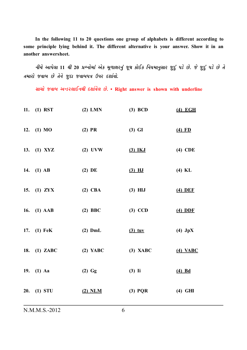**In the following 11 to 20 questions one group of alphabets is different according to some principle lying behind it. The different alternative is your answer. Show it in an another answersheet.**

 $A$ ચે આપેલા 11 થી 20 પ્રશ્નોમાં એક મૂળાક્ષરનું જૂથ કોઈક નિયમાનુસાર જુદું પડે છે. જે જુદું પડે છે તે *ík{khku sðkçk Au íkuLku swËk sðkçkÃkºk WÃkh Ëþkoðku.*

*Mkk[ku sðkçk yLzh÷kELkÚke Ëþkoðu÷ Au.* **• Right answer is shown with underline**

| 11. (1) RST   | $(2)$ LMN  | $(3)$ BCD  | $(4)$ EGH  |
|---------------|------------|------------|------------|
| 12. (1) MO    | $(2)$ PR   | $(3)$ GI   | $(4)$ FD   |
| 13. (1) XYZ   | $(2)$ UVW  | $(3)$ IKJ  | $(4)$ CDE  |
| 14. (1) AB    | $(2)$ DE   | $(3)$ HJ   | $(4)$ KL   |
| 15. (1) $ZYX$ | $(2)$ CBA  | $(3)$ HIJ  | $(4)$ DEF  |
| 16. (1) AAB   | $(2)$ BBC  | $(3)$ CCD  | $(4)$ DDF  |
| 17. (1) FeK   | $(2)$ DmL  | $(3)$ tuy  | $(4)$ JpX  |
| 18. (1) ZABC  | $(2)$ YABC | $(3)$ XABC | $(4)$ VABC |
| 19. (1) Aa    | $(2)$ Gg   | $(3)$ Ii   | $(4)$ Bd   |
| 20. (1) STU   | $(2)$ NLM  | $(3)$ PQR  | $(4)$ GHI  |
|               |            |            |            |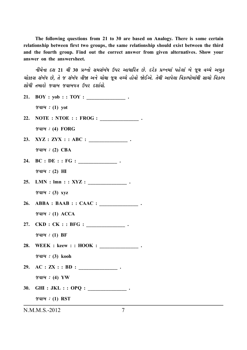The following questions from 21 to 30 are based on Analogy. There is some certain relationship between first two groups, the same relationship should exist between the third and the fourth group. Find out the correct answer from given alternatives. Show your answer on the answersheet.

નીચેના દશ 21 થી 30 પ્રશ્નો સમસંબંધ ઉપર આધારિત છે. દરેક પ્રશ્નમાં પહેલાં બે જુથ વચ્ચે અમક ચોક્કસ સંબંધ છે. તે જ સંબંધ ત્રીજા અને ચોથા જુથ વચ્ચે હોવો જોઈએ. તેથી આપેલા વિકલ્પોમાંથી સાચો વિકલ્પ શોધી તમારો જવાબ જવાબપત્ર ઉપર દર્શાવો.

21. BOY : yob : : TOY : \_\_\_\_\_\_\_\_\_\_\_\_\_\_.

 $\mathscr{U}$ al $\mathscr{U}$  : (1) vot

- 22. NOTE : NTOE : : FROG : \_\_\_\_\_\_\_\_\_\_\_\_\_\_.  $\mathcal{U}$  and  $\mathcal{U}$  : (4) FORG
- $\mathcal{U}(\mathcal{U}) : (2)$  CBA
- 24. BC : DE : : FG : \_\_\_\_\_\_\_\_\_\_\_\_\_\_\_\_.  $\mathscr{C}$ dl $\mathscr{C}$  : (2)  $\mathbb{H}$
- 25. LMN :  $lmn :: XYZ :$  $\mathscr{C}$ dl $\mathscr{C}$  : (3) xyz
- 26. ABBA : BAAB : : CAAC : \_\_\_\_\_\_\_\_\_\_\_\_\_\_\_.  $\mathcal{U}$  and  $\mathcal{U}$  : (1) ACCA
- $\mathscr{A}$ u $\mathscr{A}$ : (1) BF
- $\mathscr{A}$ u $\mathscr{A}$  : (3) kooh
- 29. AC :  $ZX : BD :$

 $\mathscr{A}$ u $\mathscr{A}$  : (4) YW

- 30. GHI : JKL : : OPQ :  $\qquad \qquad$ .
	- $\gamma$  and : (1) RST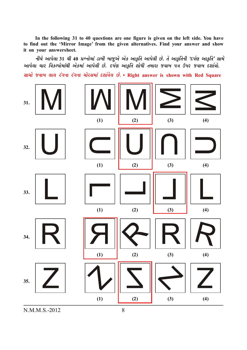**In the following 31 to 40 questions are one figure is given on the left side. You have to find out the 'Mirror Image' from the given alternatives. Find your answer and show it on your answersheet.**

 $\hat{H}$ ચે આપેલા 31 થી 40 પ્રશ્નોમાં ડાબી બાજુએ એક આકૃતિ આપેલી છે. તે આકૃતિની 'દર્પણ આકૃતિ' સામે *આપેલા ચાર વિકલ્પોમાંથી એકમાં આપેલી છે. દર્પણ આકૃતિ શોધી તમારા જવાબ પત્ર ઉપર જવાબ દર્શાવો. Mkk[ku sðkçk ÷k÷ htøkLkk htøkLkk [kuhMk{kt Ëþkoðu÷ Au.* **• Right answer is shown with Red Square**

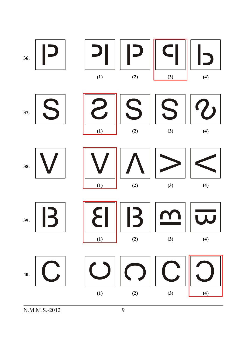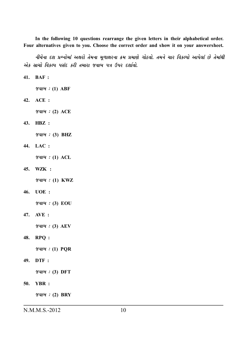In the following 10 questions rearrange the given letters in their alphabetical order. Four alternatives given to you. Choose the correct order and show it on your answersheet.

નીચેના દશ પ્રશ્નોમાં અક્ષરો તેમના મૂળાક્ષરના ક્રમ પ્રમાણે ગોઠવો. તમને ચાર વિકલ્પો આપેલાં છે તેમાંથી એક સાચો વિકલ્પ પસંદ કરી તમારા જવાબ પત્ર ઉપર દર્શાવો.

41. BAF :

 $\mathscr{A}$ u $\mathscr{A}$ : (1) ABF

42. ACE :

 $\mathscr{A}$ u $\mathscr{A}$  : (2) ACE

43. HBZ :

 $\mathscr{C}$ al $\mathscr{C}$  : (3) BHZ

44. LAC :

 $\gamma$ al $\alpha$ : (1) ACL

45. WZK :

 $\mathscr{A}$ al $\mathscr{A}:$  (1) KWZ

46. UOE :

 $\mathscr{A}$ u $\mathscr{A}$  : (3) EOU

47. AVE:

 $\mathscr{A}$ u $\mathscr{A}:$  (3) AEV

#### 48. RPQ :

 $\mathscr{C}$ al $\mathscr{C}$  : (1) PQR

49. DTF:

 $\mathscr{A}$ u $\mathscr{A}:$  (3) DFT

50. YBR :

 $\mathscr{A}$ al $\mathscr{A}:$  (2) BRY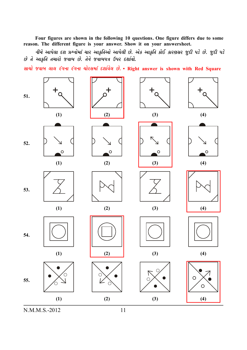**Four figures are shown in the following 10 questions. One figure differs due to some reason. The different figure is your answer. Show it on your answersheet.**

*નીચે આપેલા દશ પ્રશ્નોમાં ચાર આકૃતિઓ આપેલી છે. એક આકૃતિ કોઈ કારણસર જુદી પડે છે. જુદી પડે*  $\vartheta$  તે આકૃતિ તમારો જવાબ છે. તેને જવાબપત્ર ઉપર દર્શાવો.

*Mkk[ku sðkçk ÷k÷ htøkLkk htøkLkk [kuhMk{kt Ëþkoðu÷ Au.* **• Right answer is shown with Red Square**

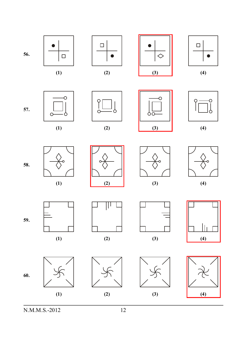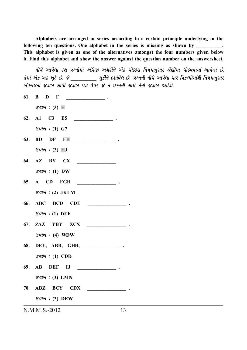Alphabets are arranged in series according to a certain principle underlying in the following ten questions. One alphabet in the series is missing as shown by . This alphabet is given as one of the alternatives amongst the four numbers given below it. Find this alphabet and show the answer against the question number on the answersheet.

નીચે આપેલા દશ પ્રશ્નોમાં અંગ્રેજી અક્ષરોને એક ચોક્કસ નિયમાનુસાર શ્રેણીમાં ગોઠવવામાં આવેલા છે. તેમાં એક અંક ખૂટે છે. જે સાંક્રમના મુકીને દર્શાવેલ છે. પ્રશ્નની નીચે આપેલા ચાર વિકલ્પોમાંથી નિયમાનુસાર બંધબેસતો જવાબ શોધી જવાબ પત્ર ઉપર જે તે પ્રશ્નની સામે તેનો જવાબ દર્શાવો.

- 61. B  $\overline{\phantom{a}}$  . The contract of  $\overline{\phantom{a}}$ D  $\mathbf{F}$
- $\mathscr{U}$ u $\mathscr{U}$ : (3) H
- 62.  $A1$  $C3$  $E5$
- $\%$ *al* $\%$  *: (1)* G7
- BD DF FH 63.  $\begin{array}{ccccccccccccc} \multicolumn{2}{c|}{\multicolumn{2}{c|}{\multicolumn{2}{c|}{\multicolumn{2}{c}{\multicolumn{2}{c}{\multicolumn{2}{c}{\multicolumn{2}{c}{\multicolumn{2}{c}{\multicolumn{2}{c}{\multicolumn{2}{c}{\multicolumn{2}{c}{\multicolumn{2}{c}{\multicolumn{2}{c}{\multicolumn{2}{c}{\textbf{1}}}}}}}}}}\quad \multicolumn{2}{c}{ \begin{array}{cccccccccc} \multicolumn{2}{c}{\multicolumn{2}{c}{\multicolumn{2}{c}{\textbf{1}} & \multicolumn{2}{c}{\textbf{2}} & \$  $\mathcal{U}(\mathcal{U}) : (3)$  HJ
- 64. AZ BY CX  $\overline{\phantom{a}}$  $\mathscr{U}$ u $\mathscr{U}:$  (1) DW
- 65. A CD FGH  $\mathcal{L}$  . The state  $\mathcal{L}$  $\mathscr{C}$ al $\mathscr{A}:$  (2) JKLM
- **ABC BCD** CDE 66. **Contract Contract Contract Contract Contract**  $\mathscr{C}$ al $\mathscr{C}$  : (1) DEF
- $\gamma$ qi $\alpha$ : (4) WDW
- 68. DEE, ABB, GHH, ...  $\mathscr{C}$ al $\mathscr{C}$  : (1) CDD
- 69.  $AB$ DEF IJ  $\mathcal{L}(\mathcal{L}(\mathcal{L}))$  and  $\mathcal{L}(\mathcal{L}(\mathcal{L}))$ 
	- $\mathscr{A}$ u $\mathscr{A}:$  (3) LMN
- 70. ABZ BCY CDX  $\overline{a}$  and  $\overline{a}$  and  $\overline{a}$  and  $\overline{a}$  and  $\overline{a}$  and  $\overline{a}$  and  $\overline{a}$ 
	- $\mathscr{C}$ al $\mathscr{C}$  : (3) DEW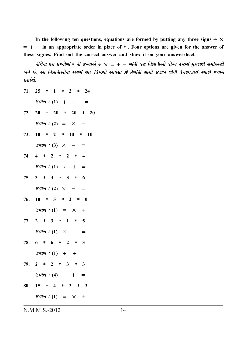In the following ten questions, equations are formed by putting any three signs  $\div \times$ = + − **in an appropriate order in place of** ∗ **. Four options are given for the answer of these signes. Find out the correct answer and show it on your answersheet.**

*નીચેના દશ પ્રશ્નોમાં* \* *ની જગ્યાએ ÷ × = + − માંથી ત્રણ નિશાનીઓ યોગ્ય ક્રમમાં મુકવાથી સમીકરણો çkLku Au. yk rLkþkLkeykuLkk ¢{{kt [kh rðfÕÃkku ykÃku÷k Au íku{ktÚke Mkk[ku sðkçk þkuÄe W¥khÃkºk{kt ík{khku sðkçk Ëþkoðku.*

- **71. 25** ∗ **1** ∗ **2** ∗ **24**
	- $\mathscr{S}$ *al* $\mathscr{A}:$  (1) + =
- **72. 20** ∗ **20** ∗ **20** ∗ **20**
- $\mathscr{A}ul\mathscr{A}: (2) = \times -$
- **73. 10** ∗ **2** ∗ **10** ∗ **10**  $\%$ *al* $\%$  *:* (3)  $\times$  −
- **74. 4** ∗ **2** ∗ **2** ∗ **4**  $\mathscr{A}ul\mathscr{A}: (1) \div + =$
- **75. 3** ∗ **3** ∗ **3** ∗ **6**  $\mathscr{A}ul\mathscr{A}: (2) \times - =$
- **76. 10** ∗ **5** ∗ **2** ∗ **0**  $\mathscr{S}$ *alb* $i : (1) = \times +$
- **77. 2** ∗ **3** ∗ **1** ∗ **5**  $\mathscr{A}$ *al* $\mathscr{A}$  *:* (1)  $\times$  - =
- **78. 6** ∗ **6** ∗ **2** ∗ **3**  $\mathscr{A}$ *al* $\mathscr{A}$  *:* (1)  $\div$  + =
- **79. 2** ∗ **2** ∗ **3** ∗ **3**
- $\mathscr{A}ul\mathscr{A}: (4)$  − + = **80. 15** ∗ **4** ∗ **3** ∗ **3**
	- $\mathscr{S}$ *al* $\mathscr{U}:$  (1) =  $\times$  +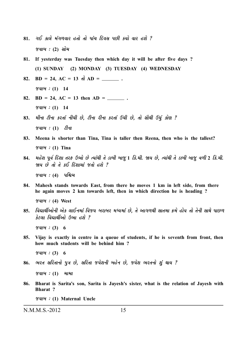- **81.** *økE fk÷u {tøk¤ðkh níkku íkku Ãkkt[ rËðMk ÃkAe fÞku ðkh nþu ? sðkçk :* **(2)** *Mkku{*
- **81. If yesterday was Tuesday then which day it will be after five days ? (1) SUNDAY (2) MONDAY (3) TUESDAY (4) WEDNESDAY**
- **82. BD** = 24, AC = 13 *dl* AD =  $\_\_\_\_\_\_\_\$ .  $\%$ *al* $\%$  *: (1)* 14
- 82.  $BD = 24$ ,  $AC = 13$  then  $AD =$  \_\_\_\_\_\_\_\_.  $\%$ *al* $\%$  *: (1)* 14
- 83. HHના ટીના કરતાં નીચી છે, ટીના રીના કરતાં ઉંચી છે, તો સૌથી ઉંચું કોણ ? *જવાબ :* (1) *ટીના*
- **83. Meena is shorter than Tina, Tina is taller then Reena, then who is the tallest?** *sðkçk :* **(1) Tina**
- **84.** *{nuþ Ãkqðo rËþk íkhV W¼ku Au íÞktÚke íku zkçke çkksw* **1** *rf.{e. òÞ Au, íÞktÚke íku zkçke çkksw ð¤e* **2** *rf.{e. òÞ Au íkku íku fE rËþk{kt síkku nþu ?*

 $\gamma$ *alબ : (4) પશ્ચિમ* 

**84. Mahesh stands towards East, from there he moves 1 km in left side, from there he again moves 2 km towards left, then in which direction he is heading ?**

*sðkçk :* **(4) West**

85. વિદ્યાર્થીઓની એક લાઈનમાં વિજય બરાબર મધ્યમાં છે, તે આગળથી સાતમા ક્રમે હોય તો તેની સાથે પાછળ  $\hat{s}$ ટલા વિદ્યાર્થીઓ ઉભા હશે ?

 $\%$ *aloi*: (3) 6

**85. Vijay is exactly in centre in a queue of students, if he is seventh from front, then how much students will be behind him ?**

**86. Bharat is Sarita's son, Sarita is Jayesh's sister, what is the relation of Jayesh with Bharat ?**

*sðkçk :* **(1) Maternal Uncle**

 $\%$ *al* $\frac{4}{1}$  *: (3)* 6

<sup>86.</sup> ભરત સરિતાનો પુત્ર છે, સરિતા જયેશની બહેન છે, જયેશ ભરતનો શું થાય ?

 $\%$ *al* $\%$  *: (1)*  $\%$  *HIHI*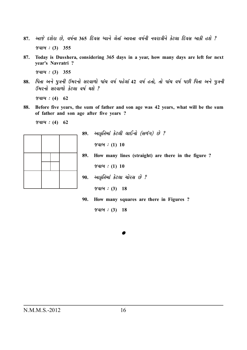- **87.** *yksu Ëþuhk Au, ð»koLkk* **365** *rËðMk æÞkLku ÷uíkkt ykðíkk ð»koLke LkðhkºkeLku fux÷k rËðMk çkkfe nþu ? sðkçk :* **(3) 355**
- **87. Today is Dusshera, considering 365 days in a year, how many days are left for next year's Navratri ?**

*sðkçk :* **(3) 355**

**88.** *rÃkíkk yLku ÃkwºkLke ô{hLkku Mkhðk¤ku Ãkkt[ ð»ko Ãknu÷kt* **42** *ð»ko níkku, íkku Ãkkt[ ð»ko ÃkAe rÃkíkk yLku ÃkwºkLke ô{hLkku Mkhðk¤ku fux÷k ð»ko Úkþu ?*

 $\%$ **al** $\frac{u}{2}$  : **(4)** 62

**88. Before five years, the sum of father and son age was 42 years, what will be the sum of father and son age after five years ?**

 $\%$ *al* $\%$  *: (4)* 62



**89.** *ykf]rík{kt fux÷e ÷kELkku (Mk¤tøk) Au ?*  $\%$ *al* $\%$  *: (1) 10* **89. How many lines (straight) are there in the figure ?**  $\%$ *aloi*: (1) 10 90. **આકૂતિમાં કેટલા ચોરસ છે** ?  $\%$ *al* $\%$  *: (3)* 18 **90. How many squares are there in Figures ?**

 $\%$ *al* $\%$  *: (3)* 18

N.M.M.S.-2012 16

*•*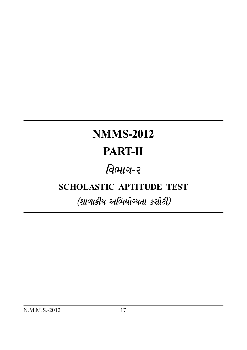# **NMMS-2012 PART-II**

## વિભાગ-૨

### **SCHOLASTIC APTITUDE TEST**

### (શાળાકીય અભિયોગ્યતા કસોટી)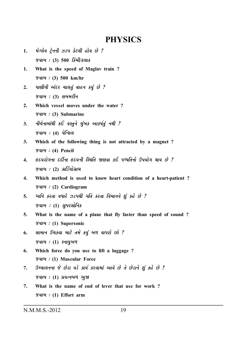### **PHYSICS**

- मेग्લेव ट्रैननी ઝડप કેટલી હોય છે ?  $1.$ જવાબ : (3) 500 કિમી/કલાક
- What is the speed of Maglav train? 1.  $\%$  al $\%$  : (3) 500 km/hr
- પાણીની અંદર ચાલતું વાહન કર્યું છે ?  $2.$ જવાબ $: (3)$  સબમરીન
- $2.$ Which vessel moves under the water?  $\mathscr{A}ul\mathscr{A}: (3)$  Submarine
- नीयेनामांथी કઈ वस्तुने युंબક આકર્ષતું नथी ?  $3.$ જવાબ $: (4)$  પેન્સિલ
- $3<sub>1</sub>$ Which of the following thing is not attracted by a magnet? જવાબ : (4) Pencil
- હૃદયરોગના દર્દીના હૃદયની સ્થિતિ જાણવા કઈ પધ્ધતિનો ઉપયોગ થાય છે ?  $\overline{4}$ . જવાબ $: (2)$  કાર્ડિયોગ્રામ
- Which method is used to know heart condition of a heart-patient?  $\boldsymbol{4}$ .  $\mathscr{C}$ al $\mathscr{C}$  : (2) Cardiogram
- ध्वनि डरता वधारे ઝડपथी गति डरता विभानने शुं डहे छे ?  $5<sub>1</sub>$  $\mathscr{G}$ વાબ :  $(1)$  સુપરસોનિક
- $5.$ What is the name of a plane that fly faster than speed of sound?  $\mathscr{A}$ al $\mathscr{A}:$  (1) Supersonic
- सामान ઉંચકવા માટે તમે કયું બળ વાપરો છો ? 6. જવાબ:  $(1)$  સ્નાયુબળ
- 6. Which force do you use to lift a luggage? *જવાબ : (1)* Muscular Force
- ઉચ્ચાલનના જે છેડા વડે કાર્ય કરવામાં આવે છે તે છેડાને શું કહે છે ? 7.  $\gamma$ વાબ:  $(1)$  પ્રયત્નબળ ભુજા
- What is the name of end of lever that use for work?  $7<sub>1</sub>$  $\mathscr{A}ul\mathscr{A}: (1)$  Effort arm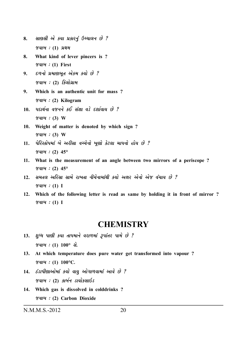- 8. *સાણસી એ કયા પ્રકારનું ઉચ્ચાલન છે ?*  $\%$  *albi* : (1) *પ્રથમ*
- **8. What kind of lever pincers is ?** *sðkçk :* **(1) First**
- **9.** *દળનો પ્રમાણભૂત એકમ કર્યો છે ? જવાબ : (2) કિલોગ્રામ*
- **9. Which is an authentic unit for mass ?** *sðkçk :* **(2) Kilogram**
- 10. *પદાર્થના વજનને કઈ સંજ્ઞા વડે દર્શાવાય છે? sðkçk :* **(3) W**
- **10. Weight of matter is denoted by which sign ?**  $\gamma$ *aloi* : (3) W
- 11. *પેરિસ્કોપમાં બે અરીસા વચ્ચેનો ખણો કેટલા માપનો હોય છે ? sðkçk :* **(2) 45°**
- **11. What is the measurement of an angle between two mirrors of a periscope ?**  $\%$ *al* $\%$  *: (2)*  $45^{\circ}$
- 12. *સમતલ અરિસા સામે રાખતા નીચેનામાંથી કર્યો અક્ષર એનો એજ વંચાય છે ? sðkçk :* **(1) I**
- **12. Which of the following letter is read as same by holding it in front of mirror ?** *sðkçk :* **(1) I**

#### **CHEMISTRY**

- 13. *शुध्ध पाशी કયા તાપમાને વરાળમાં રૂપાંતર પામે છે ? sðkçk :* **(1) 100°** *Mku.*
- **13. At which temperature does pure water get transformed into vapour ?** *sðkçk :* **(1) 100°C***.*
- 14. *isvulvu val tu vkoka ve ve burd vald var ?*  $\%$ *alot : (2) કાર્બન ડાયોકસાઇડ*
- **14. Which gas is dissolved in colddrinks ?** *sðkçk :* **(2) Carbon Dioxide**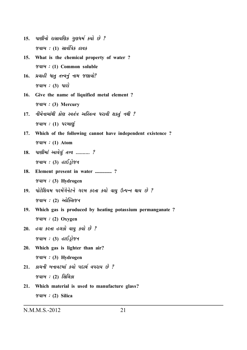- 15. *Ullai 21214 by 44 sul & ?*  $\%$ *alબ :* (1) *સાર્વત્રિક દ્રાવક*
- **15. What is the chemical property of water ?** *sðkçk :* **(1) Common soluble**
- 16. *Hakl bid draj din vsud? જવાબ : (3) પારો*
- **16. Give the name of liquified metal element ?** *sðkçk :* **(3) Mercury**
- 17. *નીચેનામાંથી કોણ સ્વતંત્ર અસ્તિત્વ ધરાવી શકતું નથી ?*  $\gamma$ *alબ : (1)* પરમાણું
- **17. Which of the following cannot have independent existence ?** *sðkçk :* **(1) Atom**
- **18.** *પાણીમાં આવેલં તત્ત્વ .......... ?*  $\%$ *alu : (3) ellsstra*
- **18. Element present in water .............. ?** *sðkçk :* **(3) Hydrogen**
- 19. *પોટેશિયમ પરમેંગેનેટને ગરમ કરતા કર્યો વાયુ ઉત્પન્ન થાય છે ?*  $\gamma$ *alબ : (2) ઓક્સિ*જન
- **19. Which gas is produced by heating potassium permanganate ?** *sðkçk :* **(2) Oxygen**
- 20. *હવા કરતા હલકો વાયુ કરો છે ?*  $\%$ *alu:* (3) *ellsi* $\%$
- **20. Which gas is lighter than air?** *sðkçk :* **(3) Hydrogen**
- 21. *કાચની બનાવટમાં કર્યો પદાર્થ વપરાય છે* ? *જવાબ : (*2) સિલિકા
- **21. Which material is used to manufacture glass?** *sðkçk :* **(2) Silica**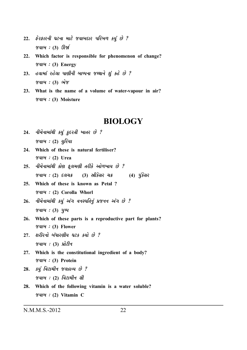- $22.$  કેરકારની ઘટના માટે જવાબદાર પરિબળ કયું છે? જવાબ $: (3)$  ઊર્જા
- 22. Which factor is responsible for phenomenon of change?  $\mathscr{A}$ u $\mathscr{A}$  : (3) Energy
- $23.$  હવામાં રહેલા પાણીની બાષ્પના જથ્થાને શું કહે છે ?  $\mathscr{C}$ વાબ : (3) ભેજ
- 23. What is the name of a volume of water-vapour in air? Value : (3) Moisture

#### **BIOLOGY**

- $24.$  નીચેનામાંથી કયું કુદરતી ખાતર છે? જવાબ $: (2)$  યુરિયા
- 24. Which of these is natural fertiliser?  $\mathscr{A}$ u $\mathscr{A}$  : (2) Urea
- $25.$  નીચેનામાંથી કોણ ફૂલમણી તરીકે ઓળખાય છે? જવાબ $: (2)$  દલચક્ર (3) સ્રીકેસર ચક્ર  $(4)$   $\ddot{4}$   $\ddot{3}$   $\ddot{4}$   $\ddot{6}$
- 25. Which of these is known as Petal? જવાબ : (2) Corolla Whorl
- $26.$  નીચેનામાંથી કયું અંગ વનસ્પતિનું પ્રજનન અંગ છે?  $\mathscr{C}$ *ator* : (3)  $\mathscr{U}$ *sqlor*
- 26. Which of these parts is a reproductive part for plants?  $\mathscr{G}$ al $\mathscr{G}$  : (3) Flower
- $27.$  શરીરનો બંધારણીય ઘટક કર્યો છે?  $\gamma$ વાબ: (3) પ્રોટીન
- 27. Which is the constitutional ingredient of a body? જવાબ : (3) Protein
- $28.$  કયું વિટામીન જલદ્રાવ્ય છે? જવાબ : (2) વિટામીન સી
- 28. Which of the following vitamin is a water soluble?  $\mathscr{A}$ u $\mathscr{A}$  : (2) Vitamin C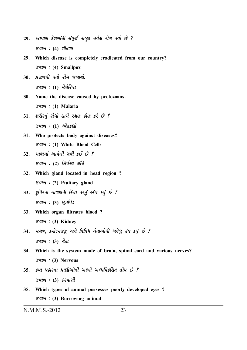- 29. આપણા દેશમાંથી સંપૂર્ણ નાબુદ થયેલ રોગ કર્યો છે ? *sðkçk :* **(4)** *þeík¤k*
- **29. Which disease is completely eradicated from our country?** *sðkçk :* **(4) Smallpox**
- 30*. પ્રજીવથી થતો રોગ જણાવો. જવાબ :* (1) મેલેરિયા
- **30. Name the disease caused by protozoans.** *sðkçk :* **(1) Malaria**
- **<sup>31</sup>***. þhehLkwt hkuøkku Mkk{u hûký fkuý fhu Au ? sðkçk :* **(1)** *&ðuíkfýku*
- **31. Who protects body against diseases?** *sðkçk :* **(1) White Blood Cells**
- 32. **HI**el *Hield giell* ses & ?  $\gamma$ *alબ :* (2) શિર્ષસ્થ ગ્રંથિ
- **32. Which gland located in head region ?** *sðkçk :* **(2) Ptuitary gland**
- 33. *g* lear ward Gu sag vin sy & ? *જવાબ : (3) મત્રપિંડ*
- **33. Which organ filtrates blood ?** *sðkçk :* **(3) Kidney**
- 34. *મગજ, કરોડરજ્જુ અને વિવિધ ચેતાઓથી બનેલું તંત્ર કયું છે ? જવાબ : (3) ચેતા*
- **34. Which is the system made of brain, spinal cord and various nerves?** *sðkçk :* **(3) Nervous**
- 35. કયા પ્રકારના પ્રાણીઓની આંખો અલ્પવિકસિત હોય છે?  $\%$ *alબ : (3) દરવાસી*
- **35. Which types of animal possesses poorly developed eyes ?** *sðkçk :* **(3) Burrowing animal**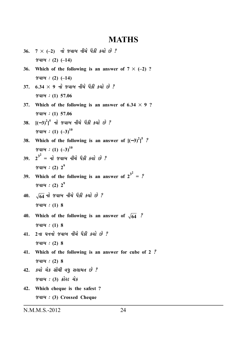#### **MATHS**

- $36. 7 \times (-2)$   $\vec{u}$  જવાબ નીચે પૈકી કર્યો છે?  $\mathscr{A}ul\mathscr{A}: (2) (-14)$ **36.** Which of the following is an answer of  $7 \times (-2)$  ?  $\%$ *alb*(*i* : (2) (–14)  $37.$   $6.34 \times 9$   $\overrightarrow{u}$   $\overrightarrow{v}$  and  $\overrightarrow{u}$   $\overrightarrow{v}$   $\overrightarrow{d}$   $\overrightarrow{v}$   $\overrightarrow{v}$   $\overrightarrow{v}$   $\overrightarrow{v}$ *sðkçk :* **(1) 57.06 37. Which of the following is an answer of**  $6.34 \times 9$  **?** *sðkçk :* **(1) 57.06 38.** [(—3) $^{2}$ ] $^{5}$  નો જવાબ નીચે પૈકી કર્યો છે ? *sðkçk :* **(1) (–3)<sup>10</sup> 38. Which of the following is an answer of**  $[(-3)^2]^5$  **?**  $\%$ *aloi*: (1)  $(-3)^{10}$ **39. 2 3 2 =** *Lkku sðkçk Lke[u Ãkife fÞku Au ?*  $\%$ *alot* : (2)  $2^{9}$ **39.** Which of the following is an answer of  $2^{3^2} = ?$  $\%$ **al** $\omega$  : **(2)**  $2^{9}$ 10.  $\sqrt{64}$  *d 8 alo Az ûs h sul & ?*  $\%$ *al* $\%$  *: (1)* 8 **40.** Which of the following is an answer of  $\sqrt{64}$  ?  $\%$ *alb*(*i*) 8 **41. 2***Lkk ½LkLkku sðkçk Lke[u Ãkife fÞku Au ?*  $\%$ *alb*(*i*) 2) 8 **41. Which of the following is an answer for cube of 2** *?*  $\%$ **al** $\frac{u}{2}$  : **(2)** 8 **42.** *fÞku [uf MkkiÚke ðÄw Mk÷k{ík Au ? જવાબ* : (3) કોસ્ડ ચેક
- **42. Which cheque is the safest ?** *sðkçk :* **(3) Crossed Cheque**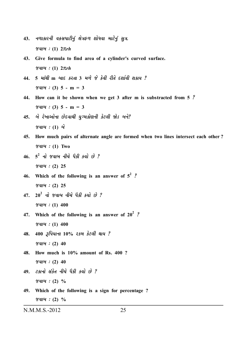- નળાકારની વકસપાટીનું ક્ષેત્રફળ શોધવા માટેનું સુત્ર. 43.  $\mathscr{C}$ qi $\mathscr{C}$ : (1)  $2\pi rh$
- 43. Give formula to find area of a cylinder's curved surface.  $\mathscr{G}$ qi $\mathscr{G}$ : (1)  $2\pi rh$
- $5$  માંથી m બાદ કરતા  $3$  મળે જે કેવી રીતે દર્શાવી શકાય ? 44.  $\mathscr{C}al\mathscr{A}: (3)$  5 - m = 3
- 44. How can it be shown when we get 3 after m is substracted from 5 ?  $\mathscr{C}ul\mathscr{A}: (3)$  5 - m = 3
- 45. બે રેખાઓના છેદવાથી યગ્મકોણની કેટલી જોડ બને? જવાબ  $: (1)$  બે
- How much pairs of alternate angle are formed when two lines intersect each other? 45.  $\mathscr{U}$ u $\mathscr{U}:$  (1) Two
- $46.$   $5^2$   $\overrightarrow{dl}$   $\overrightarrow{q}$   $\overrightarrow{dl}$   $\overrightarrow{dl}$   $\overrightarrow{dl}$   $\overrightarrow{dl}$   $\overrightarrow{dl}$   $\overrightarrow{dl}$   $\overrightarrow{dl}$  $\%$ dl $\%$  : (2) 25
- 46. Which of the following is an answer of  $5^2$  ?  $\%$ dl $\%$  : (2) 25
- $47.$   $20^2$  નો જવાબ નીચે પૈકી કર્યો છે?  $\%$ di $\%$  : (1) 400
- 47. Which of the following is an answer of  $20^2$  ?  $\%$ di $\%$  : (1) 400
- 400 ३पियाना १०% २५म डेटली थाय ? 48.  $\frac{8}{40}$  : (2) 40
- 48. How much is 10% amount of Rs. 400 ?  $\%$ di $\%$  : (2) 40
- $49.$  ટકાનો સંકેત નીચે પૈકી કર્યો છે?  $\%$  and : (2)  $\%$
- 49. Which of the following is a sign for percentage?  $\%$  and : (2)  $\%$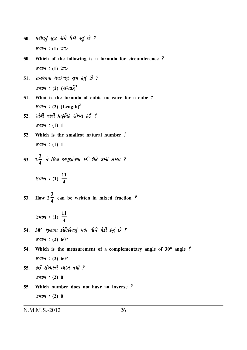- 50. *uરીઘનું સૂત્ર નીચે પૈકી કયું છે ? sðkçk :* **(1) 2**π*r*
- **50. Which of the following is a formula for circumference** *? sðkçk :* **(1) 2**π*r*
- 51. *સમધનના ઘનફળનું સૂત્ર કર્યું છે ?*  $\%$ વાબ : (2) (લંબાઈ) $^3$
- **51. What is the formula of cubic measure for a cube ?**  $\gamma$ *aloi* : (2) (Length)<sup>3</sup>
- **52.** *MkkiÚke LkkLke Ãkúkf]ríkf MktÏÞk fE ?*  $\gamma$ *aloi*: (1) 1
- **52. Which is the smallest natural number** *?*  $\%$ *al* $\%$  *: (1)* 1
- **53. 2**  $3 \rightarrow 6$  and  $5 \times 6$   $\rightarrow 0$   $\rightarrow 0$   $\rightarrow \infty$  $\frac{1}{4}$  ને મિશ્ર અપૂર્ણાકમા કઈ રીતે લખી શકાય ?<br>\*

 $\%$ *alb*(*i*)  $\frac{11}{4}$ **11 4**

**53. How 2 3 4 can be written in mixed fraction** *?*

$$
\mathscr{L}ul\mathscr{U}: \text{(1)} \quad \frac{11}{4}
$$

- **54. 30°** *¾qýkLkk fkurxfkuýLkwt {kÃk Lke[u Ãkife fÞwt Au ? sðkçk :* **(2) 60°**
- **54. Which is the measurement of a complementary angle of 30° angle** *? sðkçk :* **(2) 60°**
- 55. 5ઈ સંખ્યાનો વ્યસ્ત નથી ?  $\%$ **al** $\frac{d}{d}$  : (2) 0
- **55. Which number does not have an inverse** *?*  $\%$ *alb*( $:$  (2) 0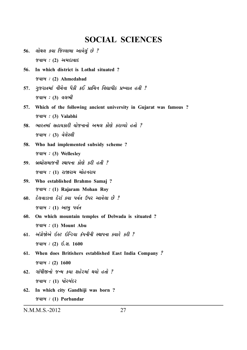### **SOCIAL SCIENCES**

- 56. **alga su જિલ્લામા આવેલું છે** ?  $\mathscr$ *8વાબ : (2) અમદાવાદ*
- **56***.* **In which district is Lothal situated ?** *sðkçk :* **(2) Ahmedabad**
- 57. *ગુજરાતમાં નીચેના પૈકી કઈ પ્રાચિન વિદ્યાપીઠ પ્રખ્યાત હતી ?*  $\%$ *alબ : (3) વલભી*
- **57. Which of the following ancient university in Gujarat was famous ?** *sðkçk :* **(3) Valabhi**
- **<sup>58</sup>***. ¼khík{kt MknkÞfkhe ÞkusLkkLkku y{÷ fkuýu fhkÔÞku níkku ?*  $\%$ *alબ : (3) વેલેસ્લી*
- **58. Who had implemented subsidy scheme ?** *sðkçk :* **(3) Wellesley**
- 59. બ્રહ્મોસમાજની સ્થાપના કોણે કરી હતી ? *જવાબ : (1) રાજારામ મોહનરાય*
- **59. Who established Brahmo Samaj ?** *sðkçk :* **(1) Rajaram Mohan Roy**
- **<sup>60</sup>***. Ëu÷ðkzkLkk Ëuhkt fÞk Ãkðoík WÃkh ykðu÷k Au ?*  $\gamma$ વાબ : (1) આબ પર્વત
- **60. On which mountain temples of Delwada is situated ?** *sðkçk :* **(1) Mount Abu**
- **<sup>61</sup>***. ytøkúuòuyu RMx RrLzÞk ftÃkLkeLke MÚkkÃkLkk fÞkhu fhe ? sðkçk :* **(2)** *R.Mk.* **1600**
- **61. When does Britishers established East India Company** *? sðkçk :* **(2) 1600**
- **<sup>62</sup>***. økktÄeSLkku sL{ fÞk þnuh{kt ÚkÞku níkku ?*  $\%$ *albi:* (1) પોરબંદર
- **62. In which city Gandhiji was born ?** *sðkçk :* **(1) Porbandar**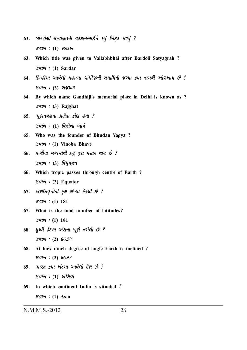- બારડોલી સત્યાગ્રહથી વલ્લભભાઈને કર્યું બિરૂદ મળ્યું ? 63. જવાબ:  $(1)$  સરદાર
- 63. Which title was given to Vallabhbhai after Bardoli Satyagrah?  $\mathscr{C}$ u $\mathscr{C}$  : (1) Sardar
- 64. દિલ્હીમાં આવેલી મહાત્મા ગાંધીજીની સમાધિની જગ્યા કયા નામથી ઓળખાય છે ?  $\%$  and : (3) રાજઘાટ
- 64. By which name Gandhiji's memorial place in Delhi is known as ?  $\mathscr{A}$ u $\mathscr{A}$  : (3) Rajghat
- $65.$  ભુદાનયજ્ઞના પ્રણેતા કોણ હતા?  $\%$ વાબ : (1) વિનોબા ભાવે
- 65. Who was the founder of Bhudan Yagya? Yalu : (1) Vinoba Bhave
- $66.$  yedlal  $4$  uu  $18$  yi ga uu uu uu u  $\gamma$ વાબ: (3) વિષુવવૃત્ત
- Which tropic passes through centre of Earth? 66.  $\mathscr{C}$ d $\mathscr{C}$  : (3) Equator
- $67.$  અક્ષાંશવૃત્તોની કુલ સંખ્યા કેટલી છે?  $\gamma$  and : (1) 181
- 67. What is the total number of latitudes?  $\%$  alot : (1) 181
- 68. *पृथ्वी डेटला અंशना ખूણे नमेली છे* ?  $\%$  alot : (2) 66.5°
- 68. At how much degree of angle Earth is inclined?  $\%$  and : (2) 66.5°
- 69. ભારત કયા ખંડમા આવેલો દેશ છે ? જવાબ $: (1)$  એશિયા
- 69. In which continent India is situated ?  $\mathscr{A}$ u $\mathscr{A}:$  (1) Asia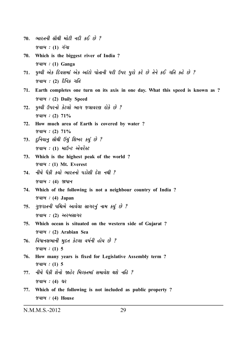- $70.$  ભારતની સૌથી મોટી નદી કઈ છે ? જવાબ :  $(1)$  ગંગા
- 70. Which is the biggest river of India?  $\mathscr{A}$ u $\mathscr{A}$  : (1) Ganga
- $71.$  yeal એક દિવસમાં એક આંટો પોતાની ધરી ઉપર પુરો કરે છે તેને કઈ ગતિ કહે છે ? જવાબ:  $(2)$  દૈનિક ગતિ
- 71. Earth completes one turn on its axis in one day. What this speed is known as ? *જવાબ : (2)* Daily Speed
- પૃથ્વી ઉપરનો કેટલો ભાગ જલાવરણ રોકે છે ?  $72.$  $\%$  and : (2)  $71\%$
- 72. How much area of Earth is covered by water?  $\%$ dl $\%$ : (2)  $71\%$
- 73. દુનિયાન સૌથી ઉંચું શિખર કર્યું છે? જવાબ : (1) માઉન્ટ એવરેસ્ટ
- 73. Which is the highest peak of the world?  $\mathscr{A}$ u $\mathscr{A}$  : (1) Mt. Everest
- 74. નીચે પૈકી કર્યો ભારતનો પડોશી દેશ નથી ?  $\mathscr{U}$ u $\mathscr{U}$ : (4)  $\mathscr{U}$ uurt
- 74. Which of the following is not a neighbour country of India?  $\mathscr{U}$ u $\mathscr{U}$ : (4) Japan
- 75. ગુજરાતની પશ્ચિમે આવેલા સાગરનું નામ કર્યુ છે ? જવાબ $: (2)$  અરબસાગર
- 75. Which ocean is situated on the western side of Gujarat?  $\mathscr{A}$ u $\mathscr{A}$  : (2) Arabian Sea
- 76. વિધાનસભાની મુદત કેટલા વર્ષની હોય છે ?  $\gamma$  and : (1) 5
- 76. How many years is fixed for Legislative Assembly term?  $\%$  and : (1) 5
- 77. નીચે પૈકી શેનો જાહેર મિલ્કતમાં સમાવેશ થશે નહિ ?  $\%$  alot : (4) us
- 77. Which of the following is not included as public property?  $\mathscr{C}$ d $\mathscr{C}$  : (4) House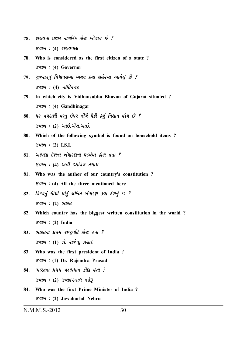- **<sup>78</sup>***. hkßÞLkk ÃkúÚk{ Lkkøkrhf fkuý fnuðkÞ Au ?*  $\%$ *alb* : (4) *alfauld*
- **78. Who is considered as the first citizen of a state ?** *sðkçk :* **(4) Governor**
- 79*. ગુજરાતનું વિધાનસભા ભવન કયા શહેરમાં આવેલું છે ?*  $\gamma$ *alબ : (4) ગાંધીનગર*
- **79. In which city is Vidhansabha Bhavan of Gujarat situated ?** *sðkçk :* **(4) Gandhinagar**
- 80. ઘર વપરાશી વસ્તુ ઉપર નીચે પૈકી કયું નિશાન હોય છે ? *sðkçk :* **(2)** *ykR.yuMk.ykR.*
- **80. Which of the following symbol is found on household items ?**  $\%$ *al* $\%$  *: (2)* I.S.I.
- **<sup>81</sup>***. ykÃkýk ËuþLkk çktÄkhýLkk ½zðiÞk fkuý níkk ? sðkçk :* **(4)** *ynª Ëþkoðu÷ ík{k{*
- **81. Who was the author of our country's constitution ?** *sðkçk :* **(4) All the three mentioned here**
- 82. *વિશ્વનું સૌથી મોટું લેખિત બંધારણ કયા દેશનું છે ?*  $\mathcal{C}$  *જવાબ : (2) ભારત*
- **82. Which country has the biggest written constitution in the world ?** *sðkçk :* **(2) India**
- **<sup>83</sup>***. ¼khíkLkk ÃkúÚk{ hk»xÙÃkrík fkuý níkk ?*  $\%$ *albi: (1) si. 218 = 4216*
- **83. Who was the first president of India ?** *sðkçk :* **(1) Dr. Rajendra Prasad**
- 84. **Hirda Yakkar Akhar Akawa**  $\%$ *albi: (2)* જુવાહરલાલ નહેરૂ
- **84. Who was the first Prime Minister of India ?** *sðkçk :* **(2) Jawaharlal Nehru**